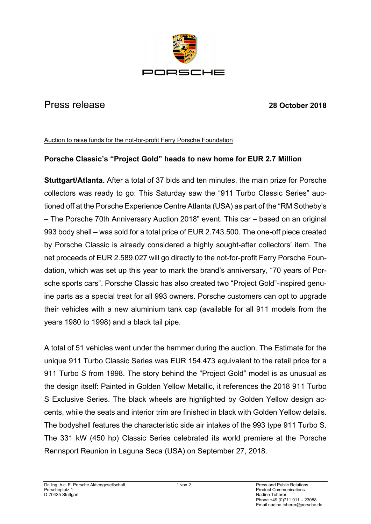

## Press release **28 October 2018**

## Auction to raise funds for the not-for-profit Ferry Porsche Foundation

## **Porsche Classic's "Project Gold" heads to new home for EUR 2.7 Million**

**Stuttgart/Atlanta.** After a total of 37 bids and ten minutes, the main prize for Porsche collectors was ready to go: This Saturday saw the "911 Turbo Classic Series" auctioned off at the Porsche Experience Centre Atlanta (USA) as part of the "RM Sotheby's – The Porsche 70th Anniversary Auction 2018" event. This car – based on an original 993 body shell – was sold for a total price of EUR 2.743.500. The one-off piece created by Porsche Classic is already considered a highly sought-after collectors' item. The net proceeds of EUR 2.589.027 will go directly to the not-for-profit Ferry Porsche Foundation, which was set up this year to mark the brand's anniversary, "70 years of Porsche sports cars". Porsche Classic has also created two "Project Gold"-inspired genuine parts as a special treat for all 993 owners. Porsche customers can opt to upgrade their vehicles with a new aluminium tank cap (available for all 911 models from the years 1980 to 1998) and a black tail pipe.

A total of 51 vehicles went under the hammer during the auction. The Estimate for the unique 911 Turbo Classic Series was EUR 154.473 equivalent to the retail price for a 911 Turbo S from 1998. The story behind the "Project Gold" model is as unusual as the design itself: Painted in Golden Yellow Metallic, it references the 2018 911 Turbo S Exclusive Series. The black wheels are highlighted by Golden Yellow design accents, while the seats and interior trim are finished in black with Golden Yellow details. The bodyshell features the characteristic side air intakes of the 993 type 911 Turbo S. The 331 kW (450 hp) Classic Series celebrated its world premiere at the Porsche Rennsport Reunion in Laguna Seca (USA) on September 27, 2018.